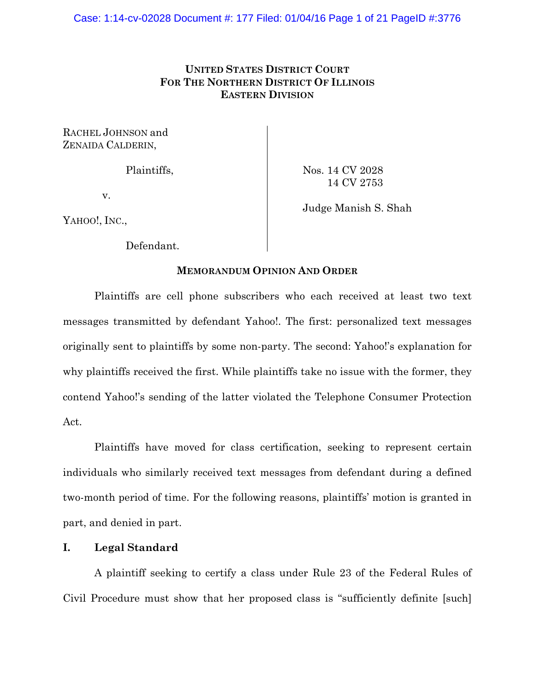# **UNITED STATES DISTRICT COURT FOR THE NORTHERN DISTRICT OF ILLINOIS EASTERN DIVISION**

RACHEL JOHNSON and ZENAIDA CALDERIN,

Plaintiffs,

Nos. 14 CV 2028 14 CV 2753

v.

Judge Manish S. Shah

YAHOO!, INC.,

Defendant.

# **MEMORANDUM OPINION AND ORDER**

 Plaintiffs are cell phone subscribers who each received at least two text messages transmitted by defendant Yahoo!. The first: personalized text messages originally sent to plaintiffs by some non-party. The second: Yahoo!'s explanation for why plaintiffs received the first. While plaintiffs take no issue with the former, they contend Yahoo!'s sending of the latter violated the Telephone Consumer Protection Act.

 Plaintiffs have moved for class certification, seeking to represent certain individuals who similarly received text messages from defendant during a defined two-month period of time. For the following reasons, plaintiffs' motion is granted in part, and denied in part.

# **I. Legal Standard**

 A plaintiff seeking to certify a class under Rule 23 of the Federal Rules of Civil Procedure must show that her proposed class is "sufficiently definite [such]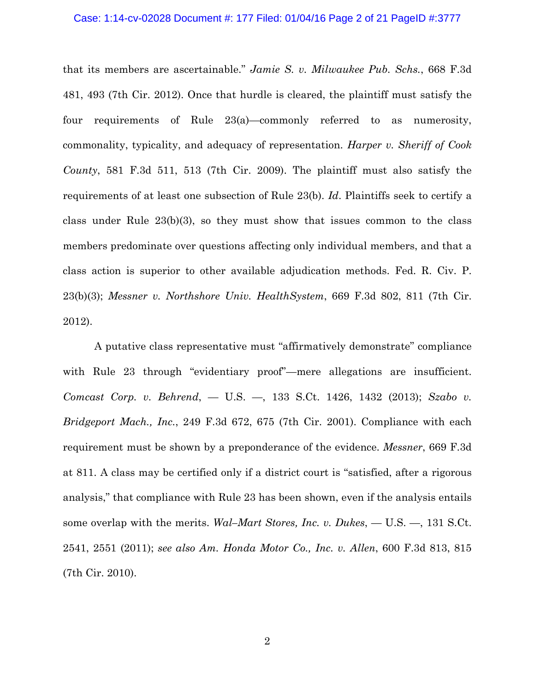### Case: 1:14-cv-02028 Document #: 177 Filed: 01/04/16 Page 2 of 21 PageID #:3777

that its members are ascertainable." *Jamie S. v. Milwaukee Pub. Schs.*, 668 F.3d 481, 493 (7th Cir. 2012). Once that hurdle is cleared, the plaintiff must satisfy the four requirements of Rule 23(a)—commonly referred to as numerosity, commonality, typicality, and adequacy of representation. *Harper v. Sheriff of Cook County*, 581 F.3d 511, 513 (7th Cir. 2009). The plaintiff must also satisfy the requirements of at least one subsection of Rule 23(b). *Id*. Plaintiffs seek to certify a class under Rule 23(b)(3), so they must show that issues common to the class members predominate over questions affecting only individual members, and that a class action is superior to other available adjudication methods. Fed. R. Civ. P. 23(b)(3); *Messner v. Northshore Univ. HealthSystem*, 669 F.3d 802, 811 (7th Cir. 2012).

 A putative class representative must "affirmatively demonstrate" compliance with Rule 23 through "evidentiary proof"—mere allegations are insufficient. *Comcast Corp. v. Behrend*, — U.S. —, 133 S.Ct. 1426, 1432 (2013); *Szabo v. Bridgeport Mach., Inc.*, 249 F.3d 672, 675 (7th Cir. 2001). Compliance with each requirement must be shown by a preponderance of the evidence. *Messner*, 669 F.3d at 811. A class may be certified only if a district court is "satisfied, after a rigorous analysis," that compliance with Rule 23 has been shown, even if the analysis entails some overlap with the merits. *Wal–Mart Stores, Inc. v. Dukes*, — U.S. —, 131 S.Ct. 2541, 2551 (2011); *see also Am. Honda Motor Co., Inc. v. Allen*, 600 F.3d 813, 815 (7th Cir. 2010).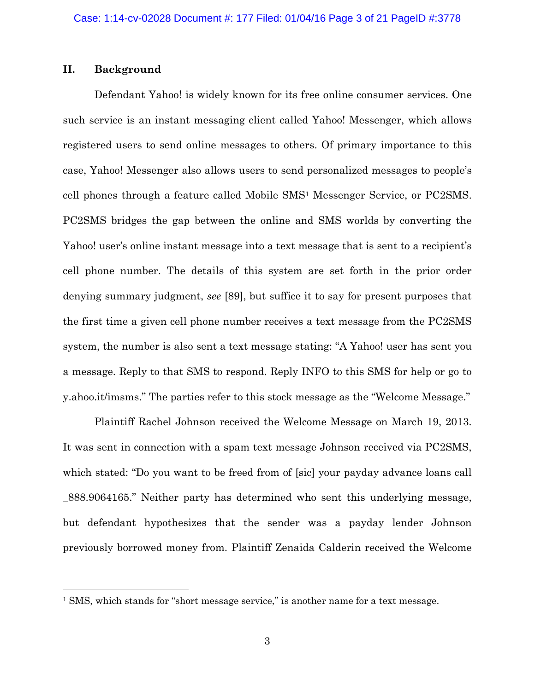# **II. Background**

 $\overline{a}$ 

Defendant Yahoo! is widely known for its free online consumer services. One such service is an instant messaging client called Yahoo! Messenger, which allows registered users to send online messages to others. Of primary importance to this case, Yahoo! Messenger also allows users to send personalized messages to people's cell phones through a feature called Mobile SMS1 Messenger Service, or PC2SMS. PC2SMS bridges the gap between the online and SMS worlds by converting the Yahoo! user's online instant message into a text message that is sent to a recipient's cell phone number. The details of this system are set forth in the prior order denying summary judgment, *see* [89], but suffice it to say for present purposes that the first time a given cell phone number receives a text message from the PC2SMS system, the number is also sent a text message stating: "A Yahoo! user has sent you a message. Reply to that SMS to respond. Reply INFO to this SMS for help or go to y.ahoo.it/imsms." The parties refer to this stock message as the "Welcome Message."

Plaintiff Rachel Johnson received the Welcome Message on March 19, 2013. It was sent in connection with a spam text message Johnson received via PC2SMS, which stated: "Do you want to be freed from of [sic] your payday advance loans call \_888.9064165." Neither party has determined who sent this underlying message, but defendant hypothesizes that the sender was a payday lender Johnson previously borrowed money from. Plaintiff Zenaida Calderin received the Welcome

<sup>&</sup>lt;sup>1</sup> SMS, which stands for "short message service," is another name for a text message.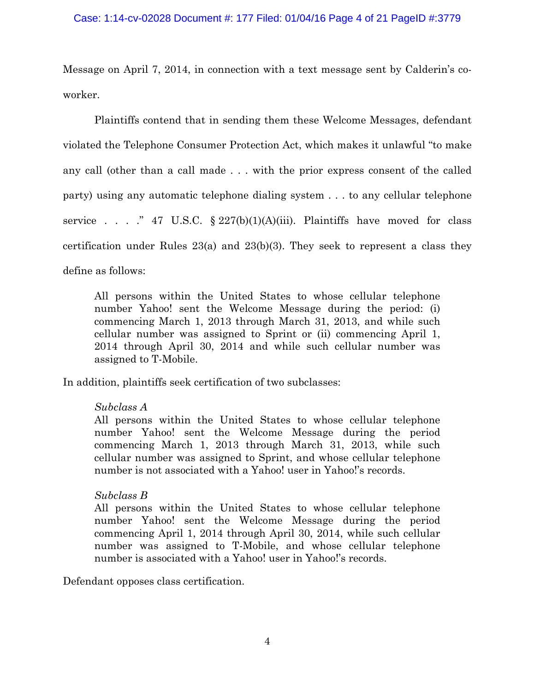## Case: 1:14-cv-02028 Document #: 177 Filed: 01/04/16 Page 4 of 21 PageID #:3779

Message on April 7, 2014, in connection with a text message sent by Calderin's coworker.

Plaintiffs contend that in sending them these Welcome Messages, defendant violated the Telephone Consumer Protection Act, which makes it unlawful "to make any call (other than a call made . . . with the prior express consent of the called party) using any automatic telephone dialing system . . . to any cellular telephone service . . . . . . 47 U.S.C.  $\S 227(b)(1)(A)(iii)$ . Plaintiffs have moved for class certification under Rules 23(a) and 23(b)(3). They seek to represent a class they define as follows:

All persons within the United States to whose cellular telephone number Yahoo! sent the Welcome Message during the period: (i) commencing March 1, 2013 through March 31, 2013, and while such cellular number was assigned to Sprint or (ii) commencing April 1, 2014 through April 30, 2014 and while such cellular number was assigned to T-Mobile.

In addition, plaintiffs seek certification of two subclasses:

# *Subclass A*

All persons within the United States to whose cellular telephone number Yahoo! sent the Welcome Message during the period commencing March 1, 2013 through March 31, 2013, while such cellular number was assigned to Sprint, and whose cellular telephone number is not associated with a Yahoo! user in Yahoo!'s records.

# *Subclass B*

All persons within the United States to whose cellular telephone number Yahoo! sent the Welcome Message during the period commencing April 1, 2014 through April 30, 2014, while such cellular number was assigned to T-Mobile, and whose cellular telephone number is associated with a Yahoo! user in Yahoo!'s records.

Defendant opposes class certification.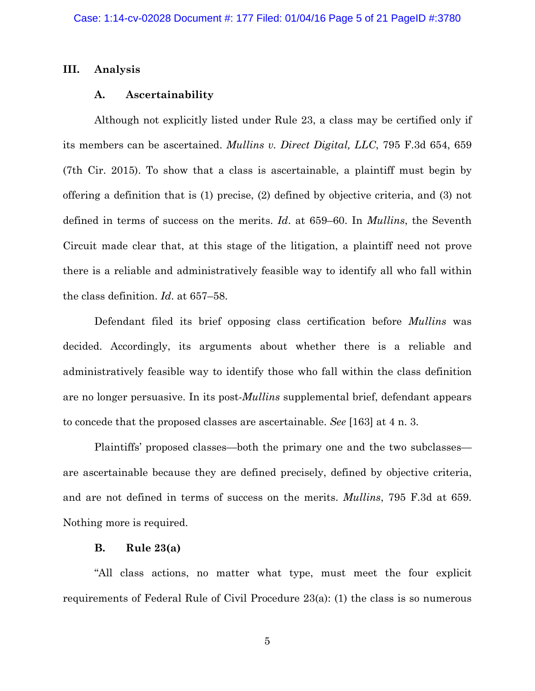## **III. Analysis**

### **A. Ascertainability**

 Although not explicitly listed under Rule 23, a class may be certified only if its members can be ascertained. *Mullins v. Direct Digital, LLC*, 795 F.3d 654, 659 (7th Cir. 2015). To show that a class is ascertainable, a plaintiff must begin by offering a definition that is (1) precise, (2) defined by objective criteria, and (3) not defined in terms of success on the merits. *Id*. at 659–60. In *Mullins*, the Seventh Circuit made clear that, at this stage of the litigation, a plaintiff need not prove there is a reliable and administratively feasible way to identify all who fall within the class definition. *Id*. at 657–58.

 Defendant filed its brief opposing class certification before *Mullins* was decided. Accordingly, its arguments about whether there is a reliable and administratively feasible way to identify those who fall within the class definition are no longer persuasive. In its post-*Mullins* supplemental brief, defendant appears to concede that the proposed classes are ascertainable. *See* [163] at 4 n. 3.

 Plaintiffs' proposed classes—both the primary one and the two subclasses are ascertainable because they are defined precisely, defined by objective criteria, and are not defined in terms of success on the merits. *Mullins*, 795 F.3d at 659. Nothing more is required.

### **B. Rule 23(a)**

 "All class actions, no matter what type, must meet the four explicit requirements of Federal Rule of Civil Procedure 23(a): (1) the class is so numerous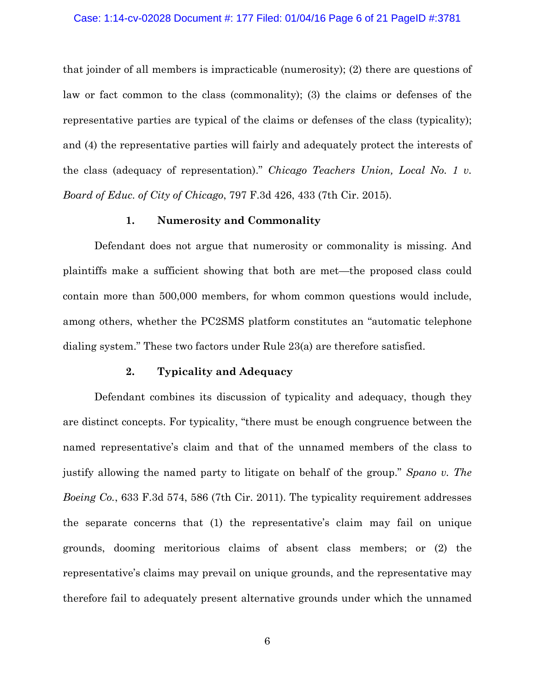### Case: 1:14-cv-02028 Document #: 177 Filed: 01/04/16 Page 6 of 21 PageID #:3781

that joinder of all members is impracticable (numerosity); (2) there are questions of law or fact common to the class (commonality); (3) the claims or defenses of the representative parties are typical of the claims or defenses of the class (typicality); and (4) the representative parties will fairly and adequately protect the interests of the class (adequacy of representation)." *Chicago Teachers Union, Local No. 1 v. Board of Educ. of City of Chicago*, 797 F.3d 426, 433 (7th Cir. 2015).

## **1. Numerosity and Commonality**

 Defendant does not argue that numerosity or commonality is missing. And plaintiffs make a sufficient showing that both are met—the proposed class could contain more than 500,000 members, for whom common questions would include, among others, whether the PC2SMS platform constitutes an "automatic telephone dialing system." These two factors under Rule 23(a) are therefore satisfied.

## **2. Typicality and Adequacy**

 Defendant combines its discussion of typicality and adequacy, though they are distinct concepts. For typicality, "there must be enough congruence between the named representative's claim and that of the unnamed members of the class to justify allowing the named party to litigate on behalf of the group." *Spano v. The Boeing Co.*, 633 F.3d 574, 586 (7th Cir. 2011). The typicality requirement addresses the separate concerns that (1) the representative's claim may fail on unique grounds, dooming meritorious claims of absent class members; or (2) the representative's claims may prevail on unique grounds, and the representative may therefore fail to adequately present alternative grounds under which the unnamed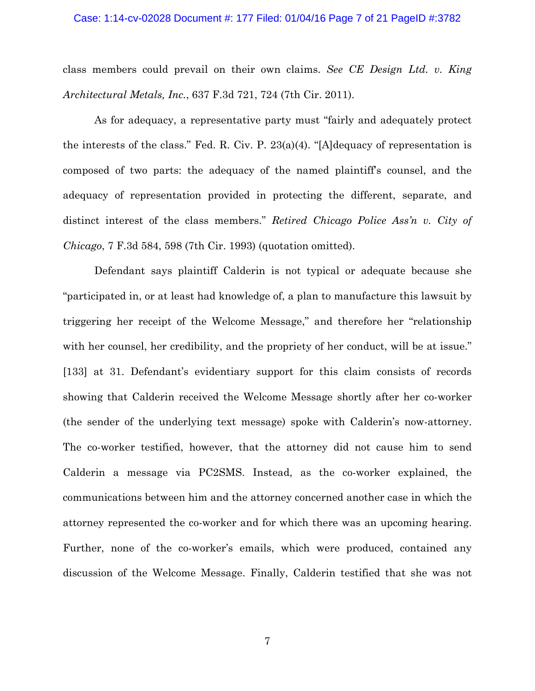#### Case: 1:14-cv-02028 Document #: 177 Filed: 01/04/16 Page 7 of 21 PageID #:3782

class members could prevail on their own claims. *See CE Design Ltd. v. King Architectural Metals, Inc.*, 637 F.3d 721, 724 (7th Cir. 2011).

 As for adequacy, a representative party must "fairly and adequately protect the interests of the class." Fed. R. Civ. P. 23(a)(4). "[A]dequacy of representation is composed of two parts: the adequacy of the named plaintiff's counsel, and the adequacy of representation provided in protecting the different, separate, and distinct interest of the class members." *Retired Chicago Police Ass'n v. City of Chicago*, 7 F.3d 584, 598 (7th Cir. 1993) (quotation omitted).

 Defendant says plaintiff Calderin is not typical or adequate because she "participated in, or at least had knowledge of, a plan to manufacture this lawsuit by triggering her receipt of the Welcome Message," and therefore her "relationship with her counsel, her credibility, and the propriety of her conduct, will be at issue." [133] at 31. Defendant's evidentiary support for this claim consists of records showing that Calderin received the Welcome Message shortly after her co-worker (the sender of the underlying text message) spoke with Calderin's now-attorney. The co-worker testified, however, that the attorney did not cause him to send Calderin a message via PC2SMS. Instead, as the co-worker explained, the communications between him and the attorney concerned another case in which the attorney represented the co-worker and for which there was an upcoming hearing. Further, none of the co-worker's emails, which were produced, contained any discussion of the Welcome Message. Finally, Calderin testified that she was not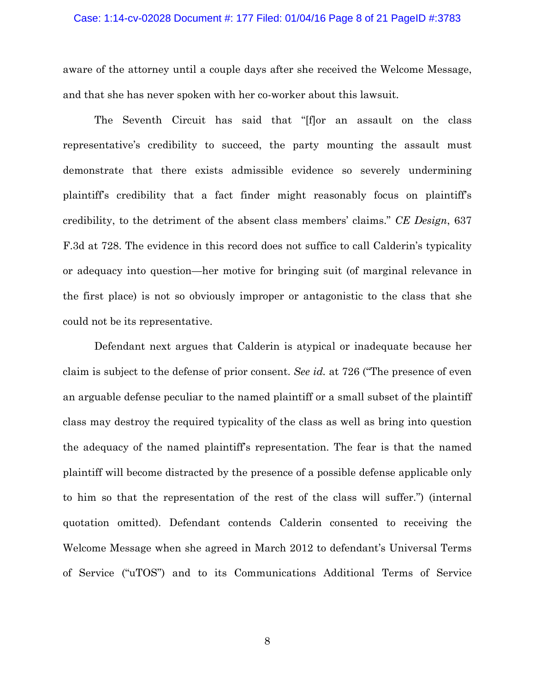#### Case: 1:14-cv-02028 Document #: 177 Filed: 01/04/16 Page 8 of 21 PageID #:3783

aware of the attorney until a couple days after she received the Welcome Message, and that she has never spoken with her co-worker about this lawsuit.

 The Seventh Circuit has said that "[f]or an assault on the class representative's credibility to succeed, the party mounting the assault must demonstrate that there exists admissible evidence so severely undermining plaintiff's credibility that a fact finder might reasonably focus on plaintiff's credibility, to the detriment of the absent class members' claims." *CE Design*, 637 F.3d at 728. The evidence in this record does not suffice to call Calderin's typicality or adequacy into question—her motive for bringing suit (of marginal relevance in the first place) is not so obviously improper or antagonistic to the class that she could not be its representative.

 Defendant next argues that Calderin is atypical or inadequate because her claim is subject to the defense of prior consent. *See id.* at 726 ("The presence of even an arguable defense peculiar to the named plaintiff or a small subset of the plaintiff class may destroy the required typicality of the class as well as bring into question the adequacy of the named plaintiff's representation. The fear is that the named plaintiff will become distracted by the presence of a possible defense applicable only to him so that the representation of the rest of the class will suffer.") (internal quotation omitted). Defendant contends Calderin consented to receiving the Welcome Message when she agreed in March 2012 to defendant's Universal Terms of Service ("uTOS") and to its Communications Additional Terms of Service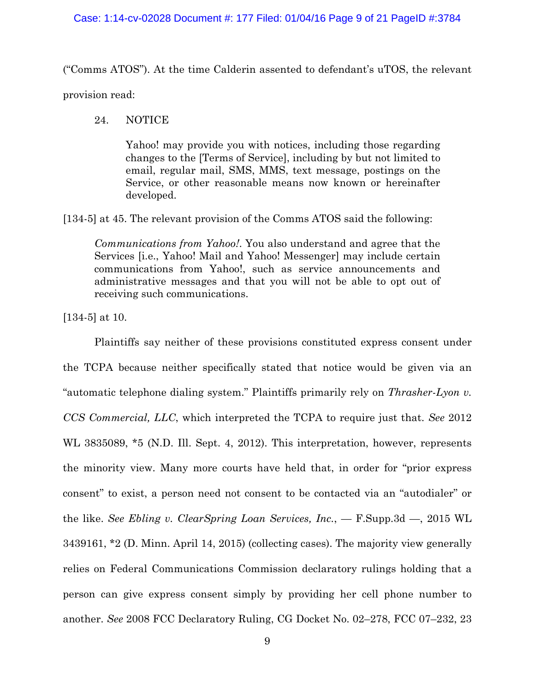## Case: 1:14-cv-02028 Document #: 177 Filed: 01/04/16 Page 9 of 21 PageID #:3784

("Comms ATOS"). At the time Calderin assented to defendant's uTOS, the relevant provision read:

# 24. NOTICE

 Yahoo! may provide you with notices, including those regarding changes to the [Terms of Service], including by but not limited to email, regular mail, SMS, MMS, text message, postings on the Service, or other reasonable means now known or hereinafter developed.

[134-5] at 45. The relevant provision of the Comms ATOS said the following:

*Communications from Yahoo!*. You also understand and agree that the Services [i.e., Yahoo! Mail and Yahoo! Messenger] may include certain communications from Yahoo!, such as service announcements and administrative messages and that you will not be able to opt out of receiving such communications.

[134-5] at 10.

 Plaintiffs say neither of these provisions constituted express consent under the TCPA because neither specifically stated that notice would be given via an "automatic telephone dialing system." Plaintiffs primarily rely on *Thrasher-Lyon v. CCS Commercial, LLC*, which interpreted the TCPA to require just that. *See* 2012 WL 3835089,  $*5$  (N.D. Ill. Sept. 4, 2012). This interpretation, however, represents the minority view. Many more courts have held that, in order for "prior express consent" to exist, a person need not consent to be contacted via an "autodialer" or the like. *See Ebling v. ClearSpring Loan Services, Inc.*, — F.Supp.3d —, 2015 WL 3439161, \*2 (D. Minn. April 14, 2015) (collecting cases). The majority view generally relies on Federal Communications Commission declaratory rulings holding that a person can give express consent simply by providing her cell phone number to another. *See* 2008 FCC Declaratory Ruling, CG Docket No. 02–278, FCC 07–232, 23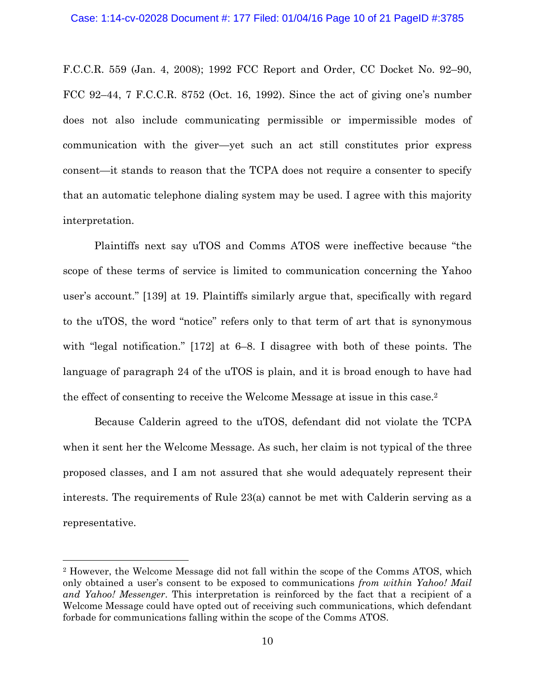### Case: 1:14-cv-02028 Document #: 177 Filed: 01/04/16 Page 10 of 21 PageID #:3785

F.C.C.R. 559 (Jan. 4, 2008); 1992 FCC Report and Order, CC Docket No. 92–90, FCC 92–44, 7 F.C.C.R. 8752 (Oct. 16, 1992). Since the act of giving one's number does not also include communicating permissible or impermissible modes of communication with the giver—yet such an act still constitutes prior express consent—it stands to reason that the TCPA does not require a consenter to specify that an automatic telephone dialing system may be used. I agree with this majority interpretation.

 Plaintiffs next say uTOS and Comms ATOS were ineffective because "the scope of these terms of service is limited to communication concerning the Yahoo user's account." [139] at 19. Plaintiffs similarly argue that, specifically with regard to the uTOS, the word "notice" refers only to that term of art that is synonymous with "legal notification." [172] at 6–8. I disagree with both of these points. The language of paragraph 24 of the uTOS is plain, and it is broad enough to have had the effect of consenting to receive the Welcome Message at issue in this case.2

 Because Calderin agreed to the uTOS, defendant did not violate the TCPA when it sent her the Welcome Message. As such, her claim is not typical of the three proposed classes, and I am not assured that she would adequately represent their interests. The requirements of Rule 23(a) cannot be met with Calderin serving as a representative.

<sup>2</sup> However, the Welcome Message did not fall within the scope of the Comms ATOS, which only obtained a user's consent to be exposed to communications *from within Yahoo! Mail and Yahoo! Messenger*. This interpretation is reinforced by the fact that a recipient of a Welcome Message could have opted out of receiving such communications, which defendant forbade for communications falling within the scope of the Comms ATOS.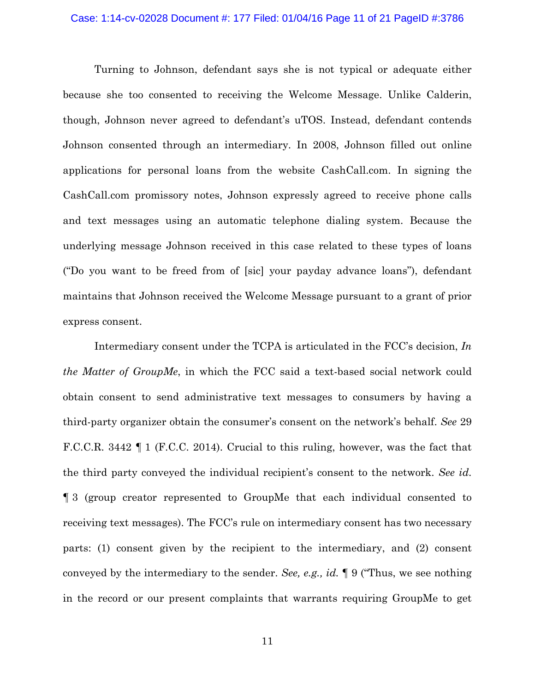#### Case: 1:14-cv-02028 Document #: 177 Filed: 01/04/16 Page 11 of 21 PageID #:3786

 Turning to Johnson, defendant says she is not typical or adequate either because she too consented to receiving the Welcome Message. Unlike Calderin, though, Johnson never agreed to defendant's uTOS. Instead, defendant contends Johnson consented through an intermediary. In 2008, Johnson filled out online applications for personal loans from the website CashCall.com. In signing the CashCall.com promissory notes, Johnson expressly agreed to receive phone calls and text messages using an automatic telephone dialing system. Because the underlying message Johnson received in this case related to these types of loans ("Do you want to be freed from of [sic] your payday advance loans"), defendant maintains that Johnson received the Welcome Message pursuant to a grant of prior express consent.

 Intermediary consent under the TCPA is articulated in the FCC's decision, *In the Matter of GroupMe*, in which the FCC said a text-based social network could obtain consent to send administrative text messages to consumers by having a third-party organizer obtain the consumer's consent on the network's behalf. *See* 29 F.C.C.R. 3442 ¶ 1 (F.C.C. 2014). Crucial to this ruling, however, was the fact that the third party conveyed the individual recipient's consent to the network. *See id*. ¶ 3 (group creator represented to GroupMe that each individual consented to receiving text messages). The FCC's rule on intermediary consent has two necessary parts: (1) consent given by the recipient to the intermediary, and (2) consent conveyed by the intermediary to the sender. *See, e.g., id.* ¶ 9 ("Thus, we see nothing in the record or our present complaints that warrants requiring GroupMe to get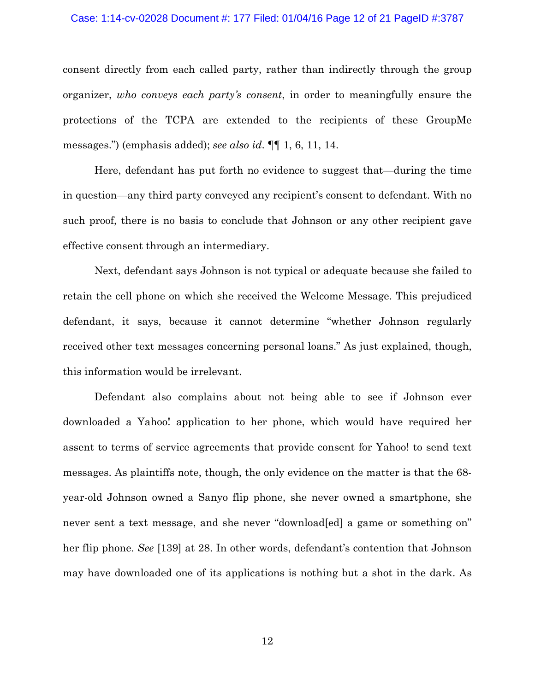#### Case: 1:14-cv-02028 Document #: 177 Filed: 01/04/16 Page 12 of 21 PageID #:3787

consent directly from each called party, rather than indirectly through the group organizer, *who conveys each party's consent*, in order to meaningfully ensure the protections of the TCPA are extended to the recipients of these GroupMe messages.") (emphasis added); *see also id*. ¶¶ 1, 6, 11, 14.

 Here, defendant has put forth no evidence to suggest that—during the time in question—any third party conveyed any recipient's consent to defendant. With no such proof, there is no basis to conclude that Johnson or any other recipient gave effective consent through an intermediary.

 Next, defendant says Johnson is not typical or adequate because she failed to retain the cell phone on which she received the Welcome Message. This prejudiced defendant, it says, because it cannot determine "whether Johnson regularly received other text messages concerning personal loans." As just explained, though, this information would be irrelevant.

 Defendant also complains about not being able to see if Johnson ever downloaded a Yahoo! application to her phone, which would have required her assent to terms of service agreements that provide consent for Yahoo! to send text messages. As plaintiffs note, though, the only evidence on the matter is that the 68 year-old Johnson owned a Sanyo flip phone, she never owned a smartphone, she never sent a text message, and she never "download[ed] a game or something on" her flip phone. *See* [139] at 28. In other words, defendant's contention that Johnson may have downloaded one of its applications is nothing but a shot in the dark. As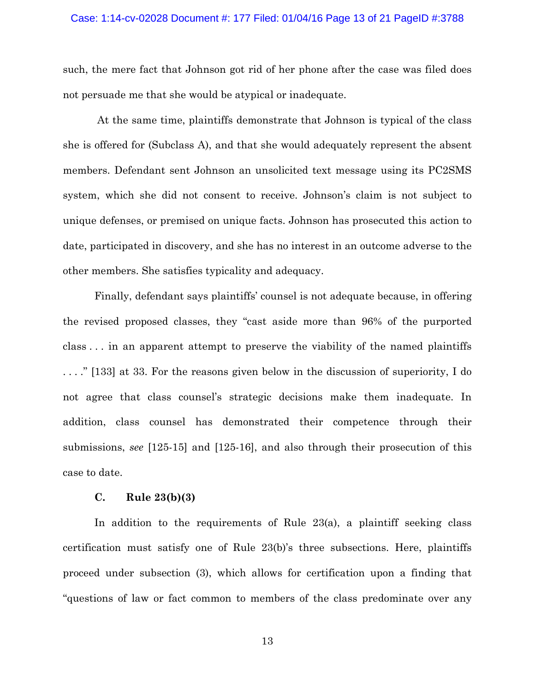#### Case: 1:14-cv-02028 Document #: 177 Filed: 01/04/16 Page 13 of 21 PageID #:3788

such, the mere fact that Johnson got rid of her phone after the case was filed does not persuade me that she would be atypical or inadequate.

 At the same time, plaintiffs demonstrate that Johnson is typical of the class she is offered for (Subclass A), and that she would adequately represent the absent members. Defendant sent Johnson an unsolicited text message using its PC2SMS system, which she did not consent to receive. Johnson's claim is not subject to unique defenses, or premised on unique facts. Johnson has prosecuted this action to date, participated in discovery, and she has no interest in an outcome adverse to the other members. She satisfies typicality and adequacy.

 Finally, defendant says plaintiffs' counsel is not adequate because, in offering the revised proposed classes, they "cast aside more than 96% of the purported class . . . in an apparent attempt to preserve the viability of the named plaintiffs . . . ." [133] at 33. For the reasons given below in the discussion of superiority, I do not agree that class counsel's strategic decisions make them inadequate. In addition, class counsel has demonstrated their competence through their submissions, *see* [125-15] and [125-16], and also through their prosecution of this case to date.

## **C. Rule 23(b)(3)**

 In addition to the requirements of Rule 23(a), a plaintiff seeking class certification must satisfy one of Rule 23(b)'s three subsections. Here, plaintiffs proceed under subsection (3), which allows for certification upon a finding that "questions of law or fact common to members of the class predominate over any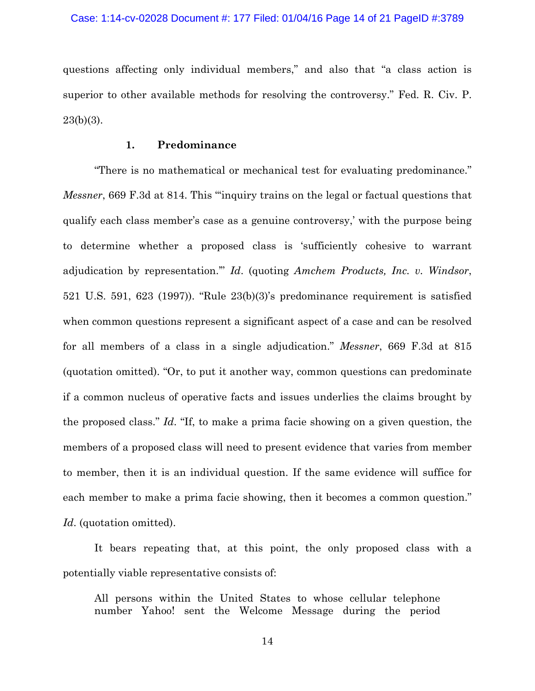questions affecting only individual members," and also that "a class action is superior to other available methods for resolving the controversy." Fed. R. Civ. P.  $23(b)(3)$ .

## **1. Predominance**

 "There is no mathematical or mechanical test for evaluating predominance." *Messner*, 669 F.3d at 814. This "inquiry trains on the legal or factual questions that qualify each class member's case as a genuine controversy,' with the purpose being to determine whether a proposed class is 'sufficiently cohesive to warrant adjudication by representation.'" *Id*. (quoting *Amchem Products, Inc. v. Windsor*, 521 U.S. 591, 623 (1997)). "Rule 23(b)(3)'s predominance requirement is satisfied when common questions represent a significant aspect of a case and can be resolved for all members of a class in a single adjudication." *Messner*, 669 F.3d at 815 (quotation omitted). "Or, to put it another way, common questions can predominate if a common nucleus of operative facts and issues underlies the claims brought by the proposed class." *Id*. "If, to make a prima facie showing on a given question, the members of a proposed class will need to present evidence that varies from member to member, then it is an individual question. If the same evidence will suffice for each member to make a prima facie showing, then it becomes a common question." *Id*. (quotation omitted).

 It bears repeating that, at this point, the only proposed class with a potentially viable representative consists of:

All persons within the United States to whose cellular telephone number Yahoo! sent the Welcome Message during the period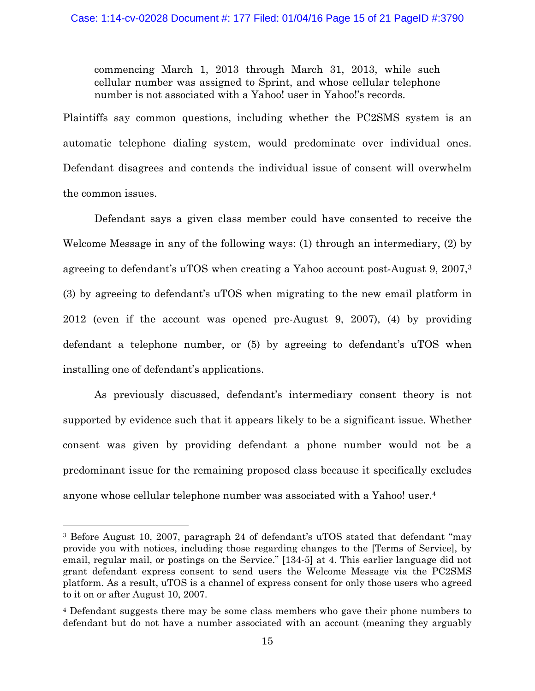commencing March 1, 2013 through March 31, 2013, while such cellular number was assigned to Sprint, and whose cellular telephone number is not associated with a Yahoo! user in Yahoo!'s records.

Plaintiffs say common questions, including whether the PC2SMS system is an automatic telephone dialing system, would predominate over individual ones. Defendant disagrees and contends the individual issue of consent will overwhelm the common issues.

Defendant says a given class member could have consented to receive the Welcome Message in any of the following ways: (1) through an intermediary, (2) by agreeing to defendant's uTOS when creating a Yahoo account post-August 9, 2007,3 (3) by agreeing to defendant's uTOS when migrating to the new email platform in 2012 (even if the account was opened pre-August 9, 2007), (4) by providing defendant a telephone number, or (5) by agreeing to defendant's uTOS when installing one of defendant's applications.

 As previously discussed, defendant's intermediary consent theory is not supported by evidence such that it appears likely to be a significant issue. Whether consent was given by providing defendant a phone number would not be a predominant issue for the remaining proposed class because it specifically excludes anyone whose cellular telephone number was associated with a Yahoo! user.4

<sup>&</sup>lt;sup>3</sup> Before August 10, 2007, paragraph 24 of defendant's uTOS stated that defendant "may" provide you with notices, including those regarding changes to the [Terms of Service], by email, regular mail, or postings on the Service." [134-5] at 4. This earlier language did not grant defendant express consent to send users the Welcome Message via the PC2SMS platform. As a result, uTOS is a channel of express consent for only those users who agreed to it on or after August 10, 2007.

<sup>4</sup> Defendant suggests there may be some class members who gave their phone numbers to defendant but do not have a number associated with an account (meaning they arguably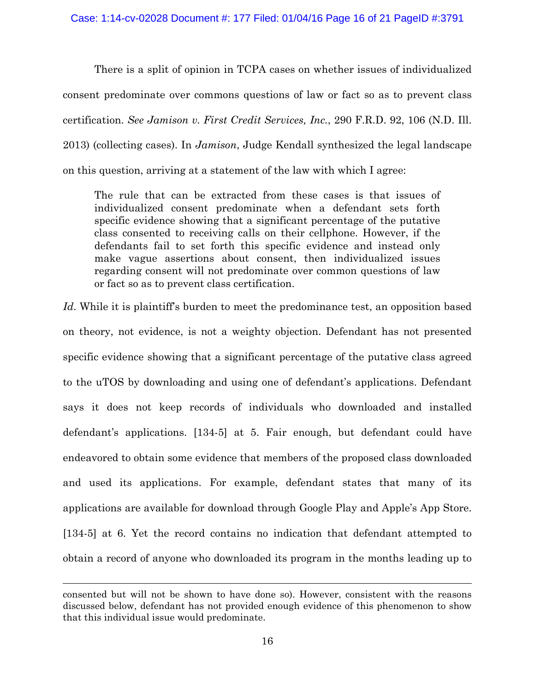There is a split of opinion in TCPA cases on whether issues of individualized consent predominate over commons questions of law or fact so as to prevent class certification. *See Jamison v. First Credit Services, Inc.*, 290 F.R.D. 92, 106 (N.D. Ill. 2013) (collecting cases). In *Jamison*, Judge Kendall synthesized the legal landscape on this question, arriving at a statement of the law with which I agree:

The rule that can be extracted from these cases is that issues of individualized consent predominate when a defendant sets forth specific evidence showing that a significant percentage of the putative class consented to receiving calls on their cellphone. However, if the defendants fail to set forth this specific evidence and instead only make vague assertions about consent, then individualized issues regarding consent will not predominate over common questions of law or fact so as to prevent class certification.

*Id*. While it is plaintiff's burden to meet the predominance test, an opposition based on theory, not evidence, is not a weighty objection. Defendant has not presented specific evidence showing that a significant percentage of the putative class agreed to the uTOS by downloading and using one of defendant's applications. Defendant says it does not keep records of individuals who downloaded and installed defendant's applications. [134-5] at 5. Fair enough, but defendant could have endeavored to obtain some evidence that members of the proposed class downloaded and used its applications. For example, defendant states that many of its applications are available for download through Google Play and Apple's App Store. [134-5] at 6. Yet the record contains no indication that defendant attempted to obtain a record of anyone who downloaded its program in the months leading up to

l

consented but will not be shown to have done so). However, consistent with the reasons discussed below, defendant has not provided enough evidence of this phenomenon to show that this individual issue would predominate.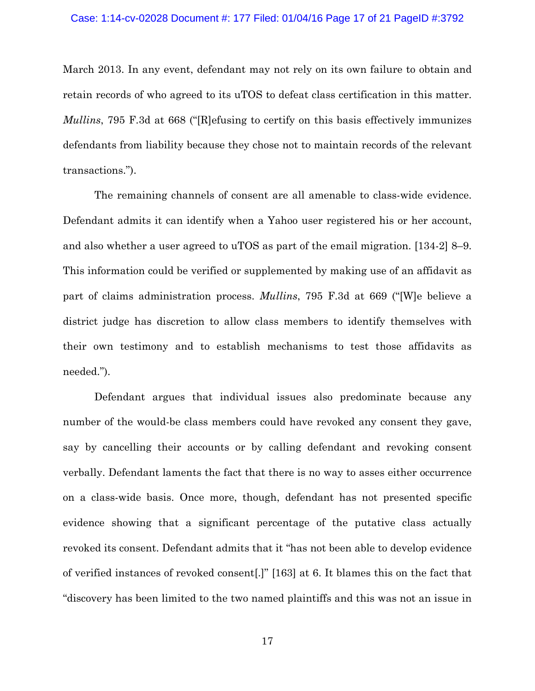March 2013. In any event, defendant may not rely on its own failure to obtain and retain records of who agreed to its uTOS to defeat class certification in this matter. *Mullins*, 795 F.3d at 668 ("[R]efusing to certify on this basis effectively immunizes defendants from liability because they chose not to maintain records of the relevant transactions.").

 The remaining channels of consent are all amenable to class-wide evidence. Defendant admits it can identify when a Yahoo user registered his or her account, and also whether a user agreed to uTOS as part of the email migration. [134-2] 8–9. This information could be verified or supplemented by making use of an affidavit as part of claims administration process. *Mullins*, 795 F.3d at 669 ("[W]e believe a district judge has discretion to allow class members to identify themselves with their own testimony and to establish mechanisms to test those affidavits as needed.").

 Defendant argues that individual issues also predominate because any number of the would-be class members could have revoked any consent they gave, say by cancelling their accounts or by calling defendant and revoking consent verbally. Defendant laments the fact that there is no way to asses either occurrence on a class-wide basis. Once more, though, defendant has not presented specific evidence showing that a significant percentage of the putative class actually revoked its consent. Defendant admits that it "has not been able to develop evidence of verified instances of revoked consent[.]" [163] at 6. It blames this on the fact that "discovery has been limited to the two named plaintiffs and this was not an issue in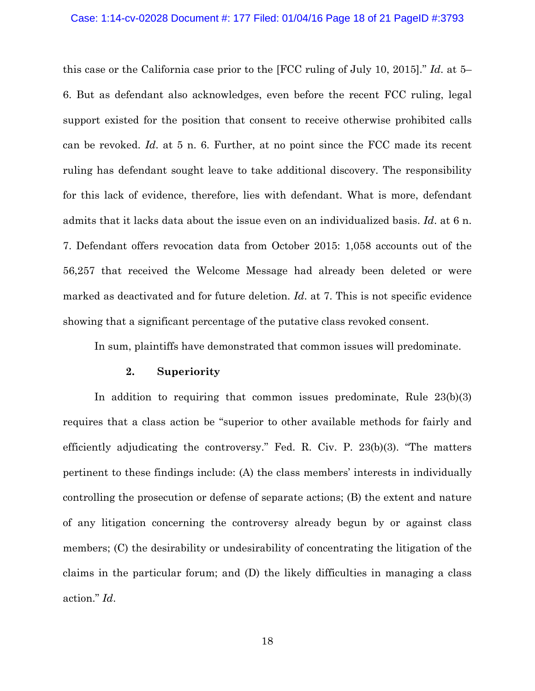#### Case: 1:14-cv-02028 Document #: 177 Filed: 01/04/16 Page 18 of 21 PageID #:3793

this case or the California case prior to the [FCC ruling of July 10, 2015]." *Id*. at 5– 6. But as defendant also acknowledges, even before the recent FCC ruling, legal support existed for the position that consent to receive otherwise prohibited calls can be revoked. *Id*. at 5 n. 6. Further, at no point since the FCC made its recent ruling has defendant sought leave to take additional discovery. The responsibility for this lack of evidence, therefore, lies with defendant. What is more, defendant admits that it lacks data about the issue even on an individualized basis. *Id*. at 6 n. 7. Defendant offers revocation data from October 2015: 1,058 accounts out of the 56,257 that received the Welcome Message had already been deleted or were marked as deactivated and for future deletion. *Id*. at 7. This is not specific evidence showing that a significant percentage of the putative class revoked consent.

In sum, plaintiffs have demonstrated that common issues will predominate.

### **2. Superiority**

 In addition to requiring that common issues predominate, Rule 23(b)(3) requires that a class action be "superior to other available methods for fairly and efficiently adjudicating the controversy." Fed. R. Civ. P. 23(b)(3). "The matters pertinent to these findings include: (A) the class members' interests in individually controlling the prosecution or defense of separate actions; (B) the extent and nature of any litigation concerning the controversy already begun by or against class members; (C) the desirability or undesirability of concentrating the litigation of the claims in the particular forum; and (D) the likely difficulties in managing a class action." *Id*.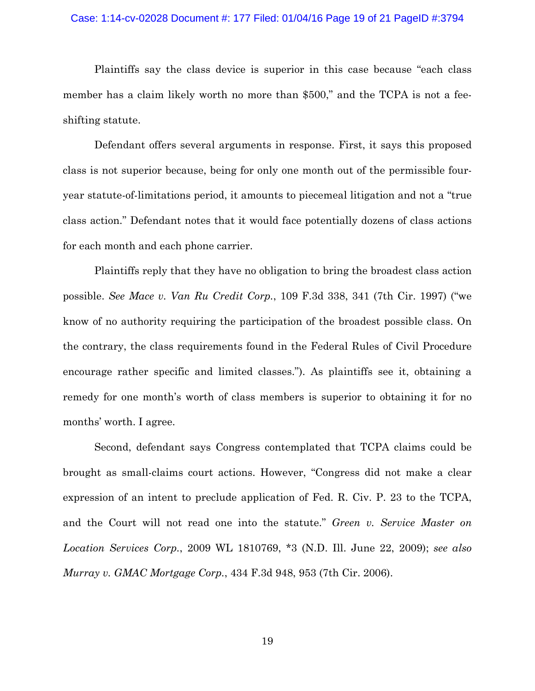#### Case: 1:14-cv-02028 Document #: 177 Filed: 01/04/16 Page 19 of 21 PageID #:3794

Plaintiffs say the class device is superior in this case because "each class member has a claim likely worth no more than \$500," and the TCPA is not a feeshifting statute.

 Defendant offers several arguments in response. First, it says this proposed class is not superior because, being for only one month out of the permissible fouryear statute-of-limitations period, it amounts to piecemeal litigation and not a "true class action." Defendant notes that it would face potentially dozens of class actions for each month and each phone carrier.

Plaintiffs reply that they have no obligation to bring the broadest class action possible. *See Mace v. Van Ru Credit Corp.*, 109 F.3d 338, 341 (7th Cir. 1997) ("we know of no authority requiring the participation of the broadest possible class. On the contrary, the class requirements found in the Federal Rules of Civil Procedure encourage rather specific and limited classes."). As plaintiffs see it, obtaining a remedy for one month's worth of class members is superior to obtaining it for no months' worth. I agree.

 Second, defendant says Congress contemplated that TCPA claims could be brought as small-claims court actions. However, "Congress did not make a clear expression of an intent to preclude application of Fed. R. Civ. P. 23 to the TCPA, and the Court will not read one into the statute." *Green v. Service Master on Location Services Corp.*, 2009 WL 1810769, \*3 (N.D. Ill. June 22, 2009); *see also Murray v. GMAC Mortgage Corp.*, 434 F.3d 948, 953 (7th Cir. 2006).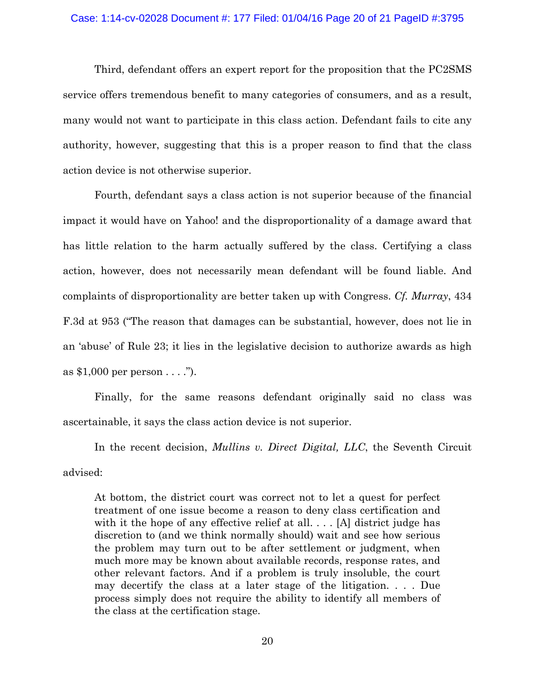### Case: 1:14-cv-02028 Document #: 177 Filed: 01/04/16 Page 20 of 21 PageID #:3795

 Third, defendant offers an expert report for the proposition that the PC2SMS service offers tremendous benefit to many categories of consumers, and as a result, many would not want to participate in this class action. Defendant fails to cite any authority, however, suggesting that this is a proper reason to find that the class action device is not otherwise superior.

 Fourth, defendant says a class action is not superior because of the financial impact it would have on Yahoo! and the disproportionality of a damage award that has little relation to the harm actually suffered by the class. Certifying a class action, however, does not necessarily mean defendant will be found liable. And complaints of disproportionality are better taken up with Congress. *Cf. Murray*, 434 F.3d at 953 ("The reason that damages can be substantial, however, does not lie in an 'abuse' of Rule 23; it lies in the legislative decision to authorize awards as high as \$1,000 per person . . . .").

 Finally, for the same reasons defendant originally said no class was ascertainable, it says the class action device is not superior.

In the recent decision, *Mullins v. Direct Digital, LLC*, the Seventh Circuit advised:

At bottom, the district court was correct not to let a quest for perfect treatment of one issue become a reason to deny class certification and with it the hope of any effective relief at all. . . . [A] district judge has discretion to (and we think normally should) wait and see how serious the problem may turn out to be after settlement or judgment, when much more may be known about available records, response rates, and other relevant factors. And if a problem is truly insoluble, the court may decertify the class at a later stage of the litigation. . . . Due process simply does not require the ability to identify all members of the class at the certification stage.